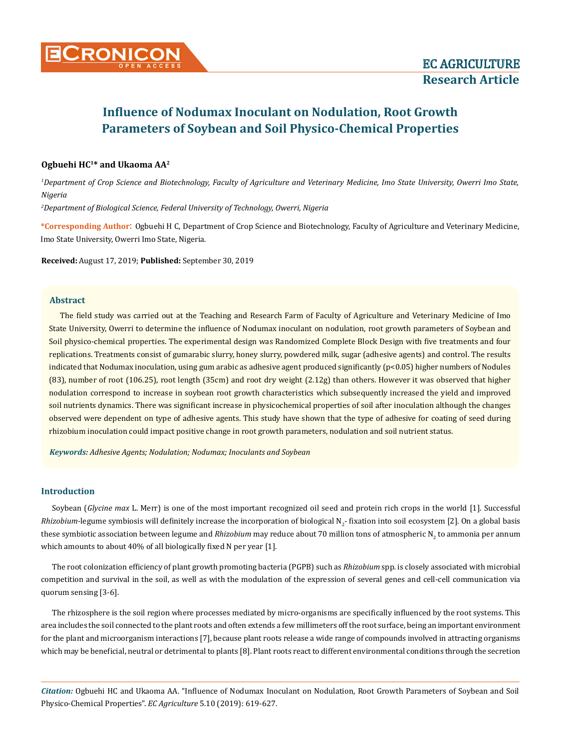

# **Influence of Nodumax Inoculant on Nodulation, Root Growth Parameters of Soybean and Soil Physico-Chemical Properties**

# **Ogbuehi HC<sup>1</sup>\* and Ukaoma AA<sup>2</sup>**

*1 Department of Crop Science and Biotechnology, Faculty of Agriculture and Veterinary Medicine, Imo State University, Owerri Imo State, Nigeria*

*2 Department of Biological Science, Federal University of Technology, Owerri, Nigeria*

**\*Corresponding Author**: Ogbuehi H C, Department of Crop Science and Biotechnology, Faculty of Agriculture and Veterinary Medicine, Imo State University, Owerri Imo State, Nigeria.

**Received:** August 17, 2019; **Published:** September 30, 2019

#### **Abstract**

The field study was carried out at the Teaching and Research Farm of Faculty of Agriculture and Veterinary Medicine of Imo State University, Owerri to determine the influence of Nodumax inoculant on nodulation, root growth parameters of Soybean and Soil physico-chemical properties. The experimental design was Randomized Complete Block Design with five treatments and four replications. Treatments consist of gumarabic slurry, honey slurry, powdered milk, sugar (adhesive agents) and control. The results indicated that Nodumax inoculation, using gum arabic as adhesive agent produced significantly (p<0.05) higher numbers of Nodules (83), number of root (106.25), root length (35cm) and root dry weight (2.12g) than others. However it was observed that higher nodulation correspond to increase in soybean root growth characteristics which subsequently increased the yield and improved soil nutrients dynamics. There was significant increase in physicochemical properties of soil after inoculation although the changes observed were dependent on type of adhesive agents. This study have shown that the type of adhesive for coating of seed during rhizobium inoculation could impact positive change in root growth parameters, nodulation and soil nutrient status.

*Keywords: Adhesive Agents; Nodulation; Nodumax; Inoculants and Soybean*

### **Introduction**

Soybean (*Glycine max* L. Merr) is one of the most important recognized oil seed and protein rich crops in the world [1]. Successful Rhizobium-legume symbiosis will definitely increase the incorporation of biological N<sub>2</sub>-fixation into soil ecosystem [2]. On a global basis these symbiotic association between legume and *Rhizobium* may reduce about 70 million tons of atmospheric N<sub>2</sub> to ammonia per annum which amounts to about 40% of all biologically fixed N per year [1].

The root colonization efficiency of plant growth promoting bacteria (PGPB) such as *Rhizobium* spp*.* is closely associated with microbial competition and survival in the soil, as well as with the modulation of the expression of several genes and cell-cell communication via quorum sensing [3-6].

The rhizosphere is the soil region where processes mediated by micro-organisms are specifically influenced by the root systems. This area includes the soil connected to the plant roots and often extends a few millimeters off the root surface, being an important environment for the plant and microorganism interactions [7], because plant roots release a wide range of compounds involved in attracting organisms which may be beneficial, neutral or detrimental to plants [8]. Plant roots react to different environmental conditions through the secretion

*Citation:* Ogbuehi HC and Ukaoma AA. "Influence of Nodumax Inoculant on Nodulation, Root Growth Parameters of Soybean and Soil Physico-Chemical Properties". *EC Agriculture* 5.10 (2019): 619-627.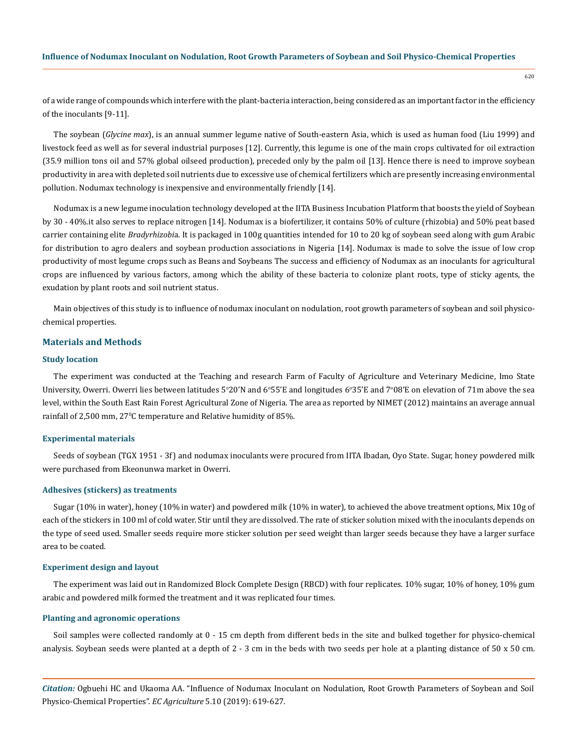of a wide range of compounds which interfere with the plant-bacteria interaction, being considered as an important factor in the efficiency of the inoculants [9-11].

The soybean (*Glycine max*), is an annual summer legume native of South-eastern Asia, which is used as human food (Liu 1999) and livestock feed as well as for several industrial purposes [12]. Currently, this legume is one of the main crops cultivated for oil extraction (35.9 million tons oil and 57% global oilseed production), preceded only by the palm oil [13]. Hence there is need to improve soybean productivity in area with depleted soil nutrients due to excessive use of chemical fertilizers which are presently increasing environmental pollution. Nodumax technology is inexpensive and environmentally friendly [14].

Nodumax is a new legume inoculation technology developed at the IITA Business Incubation Platform that boosts the yield of Soybean by 30 - 40%.it also serves to replace nitrogen [14]. Nodumax is a biofertilizer, it contains 50% of culture (rhizobia) and 50% peat based carrier containing elite *Bradyrhizobi*a. It is packaged in 100g quantities intended for 10 to 20 kg of soybean seed along with gum Arabic for distribution to agro dealers and soybean production associations in Nigeria [14]. Nodumax is made to solve the issue of low crop productivity of most legume crops such as Beans and Soybeans The success and efficiency of Nodumax as an inoculants for agricultural crops are influenced by various factors, among which the ability of these bacteria to colonize plant roots, type of sticky agents, the exudation by plant roots and soil nutrient status.

Main objectives of this study is to influence of nodumax inoculant on nodulation, root growth parameters of soybean and soil physicochemical properties.

# **Materials and Methods**

#### **Study location**

The experiment was conducted at the Teaching and research Farm of Faculty of Agriculture and Veterinary Medicine, Imo State University, Owerri. Owerri lies between latitudes 5°20′N and 6°55′E and longitudes 6°35′E and 7°08′E on elevation of 71m above the sea level, within the South East Rain Forest Agricultural Zone of Nigeria. The area as reported by NIMET (2012) maintains an average annual rainfall of 2,500 mm,  $27^{\circ}$ C temperature and Relative humidity of 85%.

#### **Experimental materials**

Seeds of soybean (TGX 1951 - 3f) and nodumax inoculants were procured from IITA Ibadan, Oyo State. Sugar, honey powdered milk were purchased from Ekeonunwa market in Owerri.

#### **Adhesives (stickers) as treatments**

Sugar (10% in water), honey (10% in water) and powdered milk (10% in water), to achieved the above treatment options, Mix 10g of each of the stickers in 100 ml of cold water. Stir until they are dissolved. The rate of sticker solution mixed with the inoculants depends on the type of seed used. Smaller seeds require more sticker solution per seed weight than larger seeds because they have a larger surface area to be coated.

#### **Experiment design and layout**

The experiment was laid out in Randomized Block Complete Design (RBCD) with four replicates. 10% sugar, 10% of honey, 10% gum arabic and powdered milk formed the treatment and it was replicated four times.

## **Planting and agronomic operations**

Soil samples were collected randomly at 0 - 15 cm depth from different beds in the site and bulked together for physico-chemical analysis. Soybean seeds were planted at a depth of 2 - 3 cm in the beds with two seeds per hole at a planting distance of 50 x 50 cm.

*Citation:* Ogbuehi HC and Ukaoma AA. "Influence of Nodumax Inoculant on Nodulation, Root Growth Parameters of Soybean and Soil Physico-Chemical Properties". *EC Agriculture* 5.10 (2019): 619-627.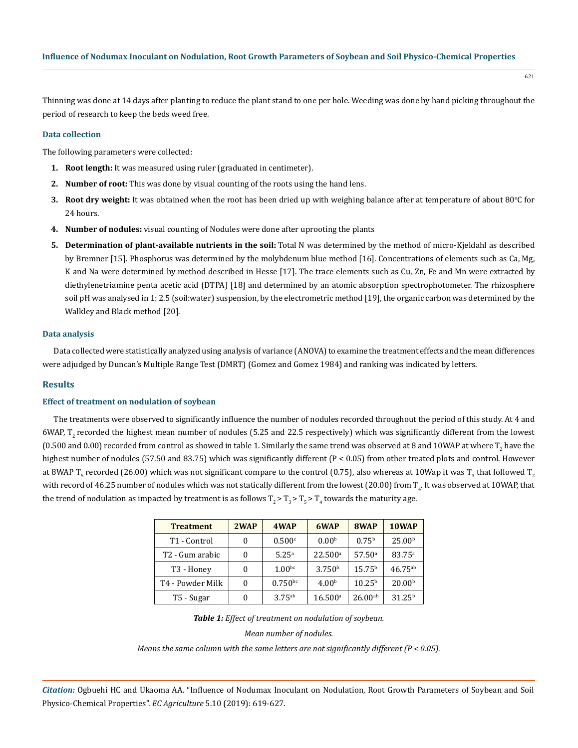Thinning was done at 14 days after planting to reduce the plant stand to one per hole. Weeding was done by hand picking throughout the period of research to keep the beds weed free.

#### **Data collection**

The following parameters were collected:

- **1. Root length:** It was measured using ruler (graduated in centimeter).
- **2. Number of root:** This was done by visual counting of the roots using the hand lens.
- 3. Root dry weight: It was obtained when the root has been dried up with weighing balance after at temperature of about 80°C for 24 hours.
- **4. Number of nodules:** visual counting of Nodules were done after uprooting the plants
- **5. Determination of plant-available nutrients in the soil:** Total N was determined by the method of micro-Kjeldahl as described by Bremner [15]. Phosphorus was determined by the molybdenum blue method [16]. Concentrations of elements such as Ca, Mg, K and Na were determined by method described in Hesse [17]. The trace elements such as Cu, Zn, Fe and Mn were extracted by diethylenetriamine penta acetic acid (DTPA) [18] and determined by an atomic absorption spectrophotometer. The rhizosphere soil pH was analysed in 1: 2.5 (soil:water) suspension, by the electrometric method [19], the organic carbon was determined by the Walkley and Black method [20].

## **Data analysis**

Data collected were statistically analyzed using analysis of variance (ANOVA) to examine the treatment effects and the mean differences were adjudged by Duncan's Multiple Range Test (DMRT) (Gomez and Gomez 1984) and ranking was indicated by letters.

# **Results**

### **Effect of treatment on nodulation of soybean**

The treatments were observed to significantly influence the number of nodules recorded throughout the period of this study. At 4 and  $6$ WAP, T<sub>2</sub> recorded the highest mean number of nodules (5.25 and 22.5 respectively) which was significantly different from the lowest (0.500 and 0.00) recorded from control as showed in table 1. Similarly the same trend was observed at 8 and  $10$ WAP at where  $\rm T_2$  have the highest number of nodules (57.50 and 83.75) which was significantly different (P < 0.05) from other treated plots and control. However at 8WAP T<sub>5</sub> recorded (26.00) which was not significant compare to the control (0.75), also whereas at 10Wap it was T<sub>3</sub> that followed T<sub>2</sub> with record of 46.25 number of nodules which was not statically different from the lowest (20.00) from  $\rm T_{4^*}$  It was observed at  $\rm 10WAP,$  that the trend of nodulation as impacted by treatment is as follows  $T_2$ >  $T_3$ >  $T_5$ >  $T_4$  towards the maturity age.

| <b>Treatment</b>         | 2WAP | 4WAP               | 6WAP                | 8WAP            | 10WAP              |
|--------------------------|------|--------------------|---------------------|-----------------|--------------------|
| T <sub>1</sub> - Control | 0    | 0.500c             | 0.00 <sup>b</sup>   | $0.75^{\rm b}$  | 25.00 <sup>b</sup> |
| T2 - Gum arabic          |      | 5.25 <sup>a</sup>  | 22.500 <sup>a</sup> | $57.50^{\circ}$ | $83.75^{\circ}$    |
| T <sub>3</sub> - Honey   |      | 1.00 <sup>bc</sup> | 3.750 <sup>b</sup>  | $15.75^{b}$     | $46.75^{ab}$       |
| T4 - Powder Milk         |      | $0.750^{bc}$       | 4.00 <sup>b</sup>   | $10.25^{b}$     | 20.00 <sup>b</sup> |
| T5 - Sugar               |      | $3.75^{ab}$        | $16.500^{\circ}$    | $26.00^{ab}$    | 31.25 <sup>b</sup> |

## *Table 1: Effect of treatment on nodulation of soybean.*

## *Mean number of nodules.*

*Means the same column with the same letters are not significantly different (P < 0.05).*

*Citation:* Ogbuehi HC and Ukaoma AA. "Influence of Nodumax Inoculant on Nodulation, Root Growth Parameters of Soybean and Soil Physico-Chemical Properties". *EC Agriculture* 5.10 (2019): 619-627.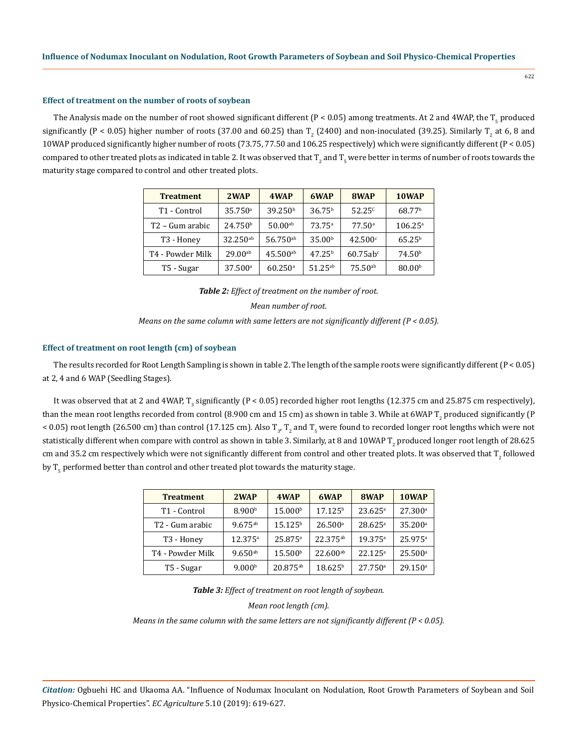#### **Effect of treatment on the number of roots of soybean**

The Analysis made on the number of root showed significant different (P < 0.05) among treatments. At 2 and 4WAP, the T<sub>5</sub> produced significantly (P < 0.05) higher number of roots (37.00 and 60.25) than  $T_2$  (2400) and non-inoculated (39.25). Similarly  $T_2$  at 6, 8 and 10WAP produced significantly higher number of roots (73.75, 77.50 and 106.25 respectively) which were significantly different (P < 0.05) compared to other treated plots as indicated in table 2. It was observed that T<sub>2</sub> and T<sub>5</sub> were better in terms of number of roots towards the maturity stage compared to control and other treated plots.

| <b>Treatment</b>         | 2WAP                  | 4WAP                  | 6WAP               | 8WAP                   | 10WAP              |
|--------------------------|-----------------------|-----------------------|--------------------|------------------------|--------------------|
| T <sub>1</sub> - Control | $35.750$ <sup>a</sup> | 39.250 <sup>b</sup>   | 36.75 <sup>b</sup> | $52.25^{c}$            | 68.77 <sup>b</sup> |
| T2 – Gum arabic          | 24.750 <sup>b</sup>   | $50.00^{ab}$          | $73.75^{\circ}$    | $77.50^{\circ}$        | $106.25^{\circ}$   |
| T <sub>3</sub> - Honey   | 32.250 <sup>ab</sup>  | 56.750 <sup>ab</sup>  | 35.00 <sup>b</sup> | $42.500^{\circ}$       | $65.25^{b}$        |
| T4 - Powder Milk         | $29.00^{ab}$          | $45.500^{ab}$         | $47.25^{b}$        | $60.75ab$ <sup>c</sup> | 74.50 <sup>b</sup> |
| T5 - Sugar               | $37.500^{\circ}$      | $60.250$ <sup>a</sup> | $51.25^{ab}$       | $75.50^{ab}$           | 80.00 <sup>b</sup> |

*Table 2: Effect of treatment on the number of root.*

*Mean number of root.*

*Means on the same column with same letters are not significantly different (P < 0.05).*

## **Effect of treatment on root length (cm) of soybean**

The results recorded for Root Length Sampling is shown in table 2. The length of the sample roots were significantly different  $(P < 0.05)$ at 2, 4 and 6 WAP (Seedling Stages).

It was observed that at 2 and 4WAP, T<sub>3</sub> significantly (P < 0.05) recorded higher root lengths (12.375 cm and 25.875 cm respectively), than the mean root lengths recorded from control (8.900 cm and 15 cm) as shown in table 3. While at 6WAP T<sub>2</sub> produced significantly (P < 0.05) root length (26.500 cm) than control (17.125 cm). Also T<sub>3</sub>, T<sub>2</sub> and T<sub>5</sub> were found to recorded longer root lengths which were not statistically different when compare with control as shown in table 3. Similarly, at 8 and  $10$ WAP T $_2$  produced longer root length of 28.625  $\,$ cm and 35.2 cm respectively which were not significantly different from control and other treated plots. It was observed that  $\Gamma_2$  followed by  $\rm T_5$  performed better than control and other treated plot towards the maturity stage.

| <b>Treatment</b>            | 2WAP               | 4WAP                | 6WAP                 | 8WAP                  | 10WAP                 |
|-----------------------------|--------------------|---------------------|----------------------|-----------------------|-----------------------|
| T <sub>1</sub> - Control    | 8.900 <sup>b</sup> | 15.000 <sup>b</sup> | 17.125 <sup>b</sup>  | $23.625^{\circ}$      | $27.300^{\circ}$      |
| T <sub>2</sub> - Gum arabic | $9.675^{ab}$       | 15.125 <sup>b</sup> | $26.500^{\circ}$     | $28.625^{\circ}$      | $35.200^{\circ}$      |
| T <sub>3</sub> - Honey      | $12.375^{\circ}$   | 25.875a             | 22.375 <sup>ab</sup> | 19.375a               | 25.975a               |
| T4 - Powder Milk            | $9.650^{ab}$       | 15.500 <sup>b</sup> | $22.600^{ab}$        | $22.125^a$            | $25.500^{\circ}$      |
| T5 - Sugar                  | 9.000 <sup>b</sup> | $20.875^{ab}$       | $18.625^{\rm b}$     | $27.750$ <sup>a</sup> | $29.150$ <sup>a</sup> |

*Table 3: Effect of treatment on root length of soybean.*

*Mean root length (cm).*

*Means in the same column with the same letters are not significantly different (P < 0.05).*

*Citation:* Ogbuehi HC and Ukaoma AA. "Influence of Nodumax Inoculant on Nodulation, Root Growth Parameters of Soybean and Soil Physico-Chemical Properties". *EC Agriculture* 5.10 (2019): 619-627.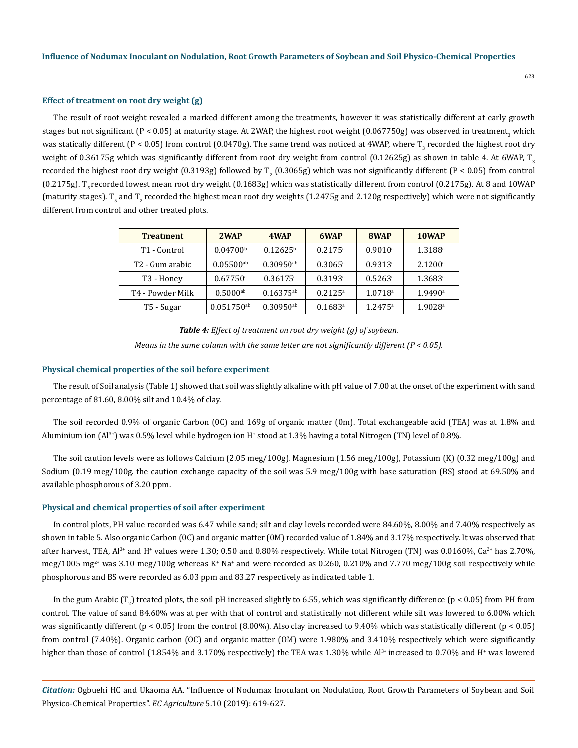#### **Effect of treatment on root dry weight (g)**

The result of root weight revealed a marked different among the treatments, however it was statistically different at early growth stages but not significant (P < 0.05) at maturity stage. At 2WAP, the highest root weight (0.067750g) was observed in treatment<sub>3</sub> which was statically different (P < 0.05) from control (0.0470g). The same trend was noticed at 4WAP, where  $\rm T_3$  recorded the highest root dry weight of 0.36175g which was significantly different from root dry weight from control (0.12625g) as shown in table 4. At 6WAP, T<sub>2</sub> recorded the highest root dry weight (0.3193g) followed by  $T_2$  (0.3065g) which was not significantly different (P < 0.05) from control  $(0.2175g)$ . T<sub>r</sub> recorded lowest mean root dry weight  $(0.1683g)$  which was statistically different from control  $(0.2175g)$ . At 8 and 10WAP (maturity stages). T<sub>5</sub> and T<sub>2</sub> recorded the highest mean root dry weights (1.2475g and 2.120g respectively) which were not significantly different from control and other treated plots.

| <b>Treatment</b>         | 2WAP                     | 4WAP                    | 6WAP                  | 8WAP                  | 10WAP                 |
|--------------------------|--------------------------|-------------------------|-----------------------|-----------------------|-----------------------|
| T <sub>1</sub> - Control | 0.04700 <sup>b</sup>     | $0.12625^{b}$           | $0.2175^{\rm a}$      | $0.9010$ <sup>a</sup> | $1.3188$ <sup>a</sup> |
| T2 - Gum arabic          | $0.05500^{ab}$           | $0.30950$ <sup>ab</sup> | $0.3065$ <sup>a</sup> | $0.9313$ <sup>a</sup> | $2.1200^{\rm a}$      |
| T <sub>3</sub> - Honey   | $0.67750$ <sup>a</sup>   | $0.36175$ <sup>a</sup>  | $0.3193$ <sup>a</sup> | $0.5263$ <sup>a</sup> | $1.3683$ <sup>a</sup> |
| T4 - Powder Milk         | $0.5000$ <sup>ab</sup>   | $0.16375^{ab}$          | $0.2125$ <sup>a</sup> | 1.0718 <sup>a</sup>   | 1.9490a               |
| T5 - Sugar               | $0.051750$ <sup>ab</sup> | $0.30950$ <sup>ab</sup> | $0.1683$ <sup>a</sup> | $1.2475^a$            | $1.9028$ <sup>a</sup> |

| <b>Table 4:</b> Effect of treatment on root dry weight (g) of soybean.                        |  |
|-----------------------------------------------------------------------------------------------|--|
| Means in the same column with the same letter are not significantly different ( $P < 0.05$ ). |  |

### **Physical chemical properties of the soil before experiment**

The result of Soil analysis (Table 1) showed that soil was slightly alkaline with pH value of 7.00 at the onset of the experiment with sand percentage of 81.60, 8.00% silt and 10.4% of clay.

The soil recorded 0.9% of organic Carbon (0C) and 169g of organic matter (0m). Total exchangeable acid (TEA) was at 1.8% and Aluminium ion  $(A^{j*})$  was 0.5% level while hydrogen ion H<sup>+</sup> stood at 1.3% having a total Nitrogen (TN) level of 0.8%.

The soil caution levels were as follows Calcium (2.05 meg/100g), Magnesium (1.56 meg/100g), Potassium (K) (0.32 meg/100g) and Sodium (0.19 meg/100g. the caution exchange capacity of the soil was 5.9 meg/100g with base saturation (BS) stood at 69.50% and available phosphorous of 3.20 ppm.

#### **Physical and chemical properties of soil after experiment**

In control plots, PH value recorded was 6.47 while sand; silt and clay levels recorded were 84.60%, 8.00% and 7.40% respectively as shown in table 5. Also organic Carbon (0C) and organic matter (0M) recorded value of 1.84% and 3.17% respectively. It was observed that after harvest, TEA, Al<sup>3+</sup> and H<sup>+</sup> values were 1.30; 0.50 and 0.80% respectively. While total Nitrogen (TN) was 0.0160%, Ca<sup>2+</sup> has 2.70%, meg/1005 mg $^{2+}$  was 3.10 meg/100g whereas K\* Na\* and were recorded as 0.260, 0.210% and 7.770 meg/100g soil respectively while phosphorous and BS were recorded as 6.03 ppm and 83.27 respectively as indicated table 1.

In the gum Arabic (T<sub>2</sub>) treated plots, the soil pH increased slightly to 6.55, which was significantly difference (p < 0.05) from PH from control. The value of sand 84.60% was at per with that of control and statistically not different while silt was lowered to 6.00% which was significantly different ( $p < 0.05$ ) from the control (8.00%). Also clay increased to 9.40% which was statistically different ( $p < 0.05$ ) from control (7.40%). Organic carbon (OC) and organic matter (OM) were 1.980% and 3.410% respectively which were significantly higher than those of control (1.854% and 3.170% respectively) the TEA was 1.30% while Al<sup>3+</sup> increased to 0.70% and H<sup>+</sup> was lowered

*Citation:* Ogbuehi HC and Ukaoma AA. "Influence of Nodumax Inoculant on Nodulation, Root Growth Parameters of Soybean and Soil Physico-Chemical Properties". *EC Agriculture* 5.10 (2019): 619-627.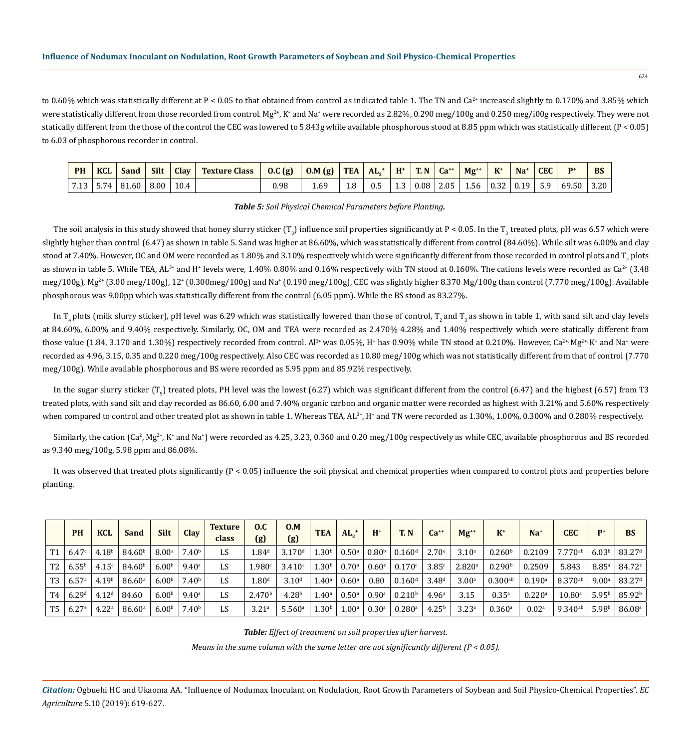## **Influence of Nodumax Inoculant on Nodulation, Root Growth Parameters of Soybean and Soil Physico-Chemical Properties**

to 0.60% which was statistically different at P < 0.05 to that obtained from control as indicated table 1. The TN and Ca<sup>2+</sup> increased slightly to 0.170% and 3.85% which were statistically different from those recorded from control. Mg<sup>2+</sup>, K<sup>+</sup> and Na<sup>+</sup> were recorded as 2.82%, 0.290 meg/100g and 0.250 meg/i00g respectively. They were not statically different from the those of the control the CEC was lowered to 5.843g while available phosphorous stood at 8.85 ppm which was statistically different (P < 0.05) to 6.03 of phosphorous recorder in control.

| PH | <b>KCL</b> | Sand                 | Silt | <b>Clay</b> | <b>Texture Class</b> | 0.C (g)   0.M (g)   TEA   AL <sub>3</sub> <sup>+</sup>   H <sup>+</sup>   T. N   Ca <sup>++</sup>   Mg <sup>++</sup>   K <sup>+</sup>   Na <sup>+</sup> |     |     |  |  |  | CEC |                                                             | BS |
|----|------------|----------------------|------|-------------|----------------------|---------------------------------------------------------------------------------------------------------------------------------------------------------|-----|-----|--|--|--|-----|-------------------------------------------------------------|----|
|    |            | 7.13 5.74 81.60 8.00 |      | 10.4        |                      | 0.98                                                                                                                                                    | 1.8 | 0.5 |  |  |  |     | 1.3   0.08   2.05   1.56   0.32   0.19   5.9   69.50   3.20 |    |

#### *Table 5: Soil Physical Chemical Parameters before Planting.*

The soil analysis in this study showed that honey slurry sticker  $(\mathrm{T}_3)$  influence soil properties significantly at P < 0.05. In the T $_3$  treated plots, pH was 6.57 which were slightly higher than control (6.47) as shown in table 5. Sand was higher at 86.60%, which was statistically different from control (84.60%). While silt was 6.00% and clay stood at 7.40%. However, OC and OM were recorded as  $1.80\%$  and  $3.10\%$  respectively which were significantly different from those recorded in control plots and T $_2$  plots as shown in table 5. While TEA, AL<sup>3+</sup> and H<sup>+</sup> levels were, 1.40% 0.80% and 0.16% respectively with TN stood at 0.160%. The cations levels were recorded as Ca<sup>2+</sup> (3.48) meg/100g), Mg<sup>2+</sup> (3.00 meg/100g), 12+ (0.300meg/100g) and Na+ (0.190 meg/100g), CEC was slightly higher 8.370 Mg/100g than control (7.770 meg/100g). Available phosphorous was 9.00pp which was statistically different from the control (6.05 ppm). While the BS stood as 83.27%.

In  $T<sub>a</sub>$  plots (milk slurry sticker), pH level was 6.29 which was statistically lowered than those of control,  $T<sub>a</sub>$  and  $T<sub>a</sub>$  as shown in table 1, with sand silt and clay levels at 84.60%, 6.00% and 9.40% respectively. Similarly, OC, OM and TEA were recorded as 2.470% 4.28% and 1.40% respectively which were statically different from those value (1.84, 3.170 and 1.30%) respectively recorded from control. Al<sup>3+</sup> was 0.05%, H<sup>+</sup> has 0.90% while TN stood at 0.210%. However, Ca<sup>2+,</sup> Mg<sup>2+,</sup> K<sup>+</sup> and Na<sup>+</sup> were recorded as 4.96, 3.15, 0.35 and 0.220 meg/100g respectively. Also CEC was recorded as 10.80 meg/100g which was not statistically different from that of control (7.770 meg/100g). While available phosphorous and BS were recorded as 5.95 ppm and 85.92% respectively.

In the sugar slurry sticker (T<sub>5</sub>) treated plots, PH level was the lowest (6.27) which was significant different from the control (6.47) and the highest (6.57) from T3 treated plots, with sand silt and clay recorded as 86.60, 6.00 and 7.40% organic carbon and organic matter were recorded as highest with 3.21% and 5.60% respectively when compared to control and other treated plot as shown in table 1. Whereas TEA,  $\rm{AL^{3+}}$ , H $^*$  and TN were recorded as  $1.30\%$ ,  $1.00\%$ ,  $0.300\%$  and  $0.280\%$  respectively.

Similarly, the cation (Ca<sup>2</sup>, Mg<sup>2+</sup>, K<sup>+</sup> and Na<sup>+</sup>) were recorded as 4.25, 3.23, 0.360 and 0.20 meg/100g respectively as while CEC, available phosphorous and BS recorded as 9.340 meg/100g, 5.98 ppm and 86.08%.

It was observed that treated plots significantly  $(P < 0.05)$  influence the soil physical and chemical properties when compared to control plots and properties before planting.

|                | <b>PH</b>           | <b>KCL</b>        | Sand               | <b>Silt</b>       | <b>Clay</b>       | <b>Texture</b><br>class | 0.C<br>(g)         | 0.M<br>(g)         | <b>TEA</b>        | $AL_{\circ}$ <sup>+</sup> | $H^*$               | <b>T. N</b>          | $Ca^{++}$         | $Mg^{+*}$          | $K^+$                | $Na+$                | <b>CEC</b>      | $\mathbf{p}^+$      | <b>BS</b>          |
|----------------|---------------------|-------------------|--------------------|-------------------|-------------------|-------------------------|--------------------|--------------------|-------------------|---------------------------|---------------------|----------------------|-------------------|--------------------|----------------------|----------------------|-----------------|---------------------|--------------------|
| T1             | 6.47c               | 4.18 <sup>b</sup> | 84.60 <sup>b</sup> | 8.00 <sup>a</sup> | 7.40 <sup>b</sup> | LS                      | 1.84 <sup>d</sup>  | 3.170 <sup>d</sup> | 1.30 <sup>b</sup> | $0.50^{\circ}$            | 0.80 <sup>b</sup>   | $0.160$ <sup>d</sup> | $2.70^{\circ}$    | $3.10^a$           | 0.260 <sup>b</sup>   | 0.2109               | $7.770^{ab}$    | 6.03 <sup>b</sup>   | 83.27 <sup>d</sup> |
| T <sub>2</sub> | $6.55^{b}$          | 4.15 <sup>c</sup> | 84.60 <sup>b</sup> | 6.00 <sup>b</sup> | $9.40^{\circ}$    | LS                      | 1.980c             | 3.410c             | 1.30 <sup>b</sup> | $0.70^{\rm a}$            | 0.60 <sup>c</sup>   | 0.170c               | 3.85c             | 2.820 <sup>a</sup> | 0.290 <sup>b</sup>   | 0.2509               | 5.843           | $8.85$ <sup>a</sup> | 84.72c             |
| T3             | 6.57 <sup>a</sup>   | 4.19 <sup>b</sup> | 86.60a             | 6.00 <sup>b</sup> | 7.40 <sup>b</sup> | LS                      | 1.80 <sup>d</sup>  | 3.10 <sup>d</sup>  | $1.40^{\circ}$    | $0.60^{\circ}$            | 0.80                | $0.160$ <sup>d</sup> | 3.48 <sup>d</sup> | 3.00 <sup>a</sup>  | $0.300^{ab}$         | $0.190$ <sup>a</sup> | $8.370^{ab}$    | $9.00^{\rm a}$      | 83.27 <sup>d</sup> |
| T4             | 6.29 <sup>d</sup>   | 4.12 <sup>d</sup> | 84.60              | 6.00 <sup>b</sup> | $9.40^{\circ}$    | LS                      | 2.470 <sup>b</sup> | 4.28 <sup>b</sup>  | $1.40^{\circ}$    | $0.50^{\circ}$            | $0.90$ <sup>a</sup> | 0.210 <sup>b</sup>   | 4.96 <sup>a</sup> | 3.15               | $0.35^{a}$           | $0.220$ <sup>a</sup> | $10.80^{\circ}$ | 5.95 <sup>b</sup>   | 85.92 <sup>b</sup> |
| T5             | $6.27$ <sup>e</sup> | 4.22 <sup>a</sup> | 86.60 <sup>a</sup> | 6.00 <sup>b</sup> | 7.40 <sup>b</sup> | LS                      | 3.21 <sup>a</sup>  | 5.560a             | $1.30^{\rm b}$    | $1.00^{\rm a}$            | 0.30 <sup>a</sup>   | $0.280$ <sup>a</sup> | 4.25 <sup>b</sup> | 3.23a              | $0.360$ <sup>a</sup> | 0.02 <sup>a</sup>    | $9.340^{ab}$    | 5.98 <sup>b</sup>   | 86.08 <sup>a</sup> |

*Table: Effect of treatment on soil properties after harvest.* 

*Means in the same column with the same letter are not significantly different (P < 0.05).*

*Citation:* Ogbuehi HC and Ukaoma AA. "Influence of Nodumax Inoculant on Nodulation, Root Growth Parameters of Soybean and Soil Physico-Chemical Properties". *EC Agriculture* 5.10 (2019): 619-627.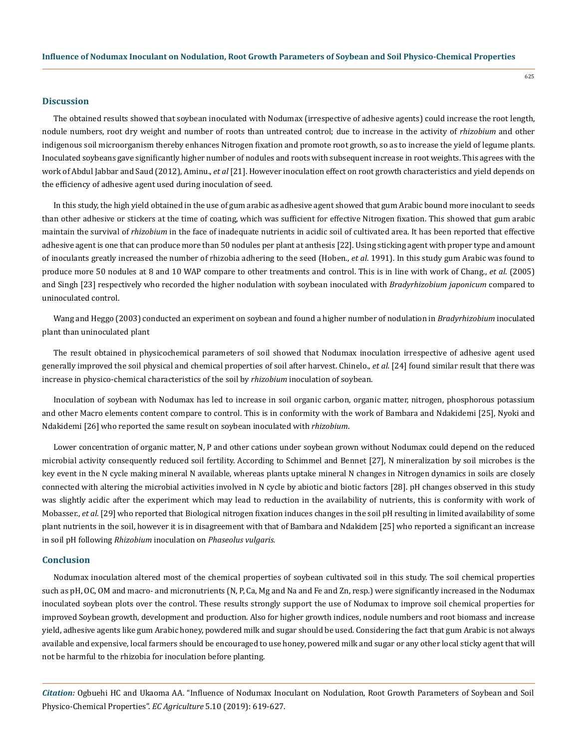#### **Discussion**

The obtained results showed that soybean inoculated with Nodumax (irrespective of adhesive agents) could increase the root length, nodule numbers, root dry weight and number of roots than untreated control; due to increase in the activity of *rhizobium* and other indigenous soil microorganism thereby enhances Nitrogen fixation and promote root growth, so as to increase the yield of legume plants. Inoculated soybeans gave significantly higher number of nodules and roots with subsequent increase in root weights. This agrees with the work of Abdul Jabbar and Saud (2012), Aminu., *et al* [21]. However inoculation effect on root growth characteristics and yield depends on the efficiency of adhesive agent used during inoculation of seed.

In this study, the high yield obtained in the use of gum arabic as adhesive agent showed that gum Arabic bound more inoculant to seeds than other adhesive or stickers at the time of coating, which was sufficient for effective Nitrogen fixation. This showed that gum arabic maintain the survival of *rhizobium* in the face of inadequate nutrients in acidic soil of cultivated area. It has been reported that effective adhesive agent is one that can produce more than 50 nodules per plant at anthesis [22]. Using sticking agent with proper type and amount of inoculants greatly increased the number of rhizobia adhering to the seed (Hoben., *et al*. 1991). In this study gum Arabic was found to produce more 50 nodules at 8 and 10 WAP compare to other treatments and control. This is in line with work of Chang., *et al*. (2005) and Singh [23] respectively who recorded the higher nodulation with soybean inoculated with *Bradyrhizobium japonicum* compared to uninoculated control.

Wang and Heggo (2003) conducted an experiment on soybean and found a higher number of nodulation in *Bradyrhizobium* inoculated plant than uninoculated plant

The result obtained in physicochemical parameters of soil showed that Nodumax inoculation irrespective of adhesive agent used generally improved the soil physical and chemical properties of soil after harvest. Chinelo., *et al.* [24] found similar result that there was increase in physico-chemical characteristics of the soil by *rhizobium* inoculation of soybean.

Inoculation of soybean with Nodumax has led to increase in soil organic carbon, organic matter, nitrogen, phosphorous potassium and other Macro elements content compare to control. This is in conformity with the work of Bambara and Ndakidemi [25], Nyoki and Ndakidemi [26] who reported the same result on soybean inoculated with *rhizobium*.

Lower concentration of organic matter, N, P and other cations under soybean grown without Nodumax could depend on the reduced microbial activity consequently reduced soil fertility. According to Schimmel and Bennet [27], N mineralization by soil microbes is the key event in the N cycle making mineral N available, whereas plants uptake mineral N changes in Nitrogen dynamics in soils are closely connected with altering the microbial activities involved in N cycle by abiotic and biotic factors [28]. pH changes observed in this study was slightly acidic after the experiment which may lead to reduction in the availability of nutrients, this is conformity with work of Mobasser., *et al*. [29] who reported that Biological nitrogen fixation induces changes in the soil pH resulting in limited availability of some plant nutrients in the soil, however it is in disagreement with that of Bambara and Ndakidem [25] who reported a significant an increase in soil pH following *Rhizobium* inoculation on *Phaseolus vulgaris.*

## **Conclusion**

Nodumax inoculation altered most of the chemical properties of soybean cultivated soil in this study. The soil chemical properties such as pH, OC, OM and macro- and micronutrients (N, P, Ca, Mg and Na and Fe and Zn, resp.) were significantly increased in the Nodumax inoculated soybean plots over the control. These results strongly support the use of Nodumax to improve soil chemical properties for improved Soybean growth, development and production. Also for higher growth indices, nodule numbers and root biomass and increase yield, adhesive agents like gum Arabic honey, powdered milk and sugar should be used. Considering the fact that gum Arabic is not always available and expensive, local farmers should be encouraged to use honey, powered milk and sugar or any other local sticky agent that will not be harmful to the rhizobia for inoculation before planting.

*Citation:* Ogbuehi HC and Ukaoma AA. "Influence of Nodumax Inoculant on Nodulation, Root Growth Parameters of Soybean and Soil Physico-Chemical Properties". *EC Agriculture* 5.10 (2019): 619-627.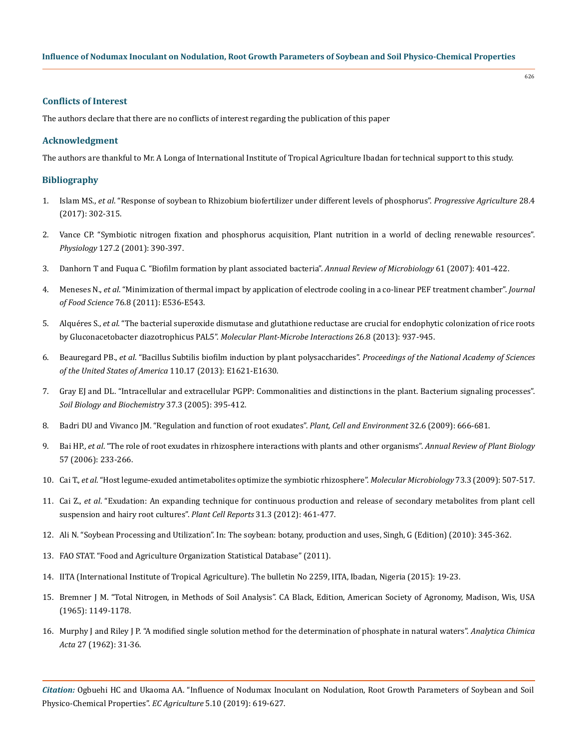## **Influence of Nodumax Inoculant on Nodulation, Root Growth Parameters of Soybean and Soil Physico-Chemical Properties**

# **Conflicts of Interest**

The authors declare that there are no conflicts of interest regarding the publication of this paper

# **Acknowledgment**

The authors are thankful to Mr. A Longa of International Institute of Tropical Agriculture Ibadan for technical support to this study.

# **Bibliography**

- 1. Islam MS., *et al*. "Response of soybean to Rhizobium [biofertilizer under different levels of phosphorus".](https://www.banglajol.info/index.php/PA/article/view/36370) *Progressive Agriculture* 28.4 [\(2017\): 302-315.](https://www.banglajol.info/index.php/PA/article/view/36370)
- 2. [Vance CP. "Symbiotic nitrogen fixation and phosphorus acquisition, Plant nutrition in a world of decling renewable resources".](https://www.ncbi.nlm.nih.gov/pubmed/11598215)  *Physiology* [127.2 \(2001\): 390-397.](https://www.ncbi.nlm.nih.gov/pubmed/11598215)
- 3. [Danhorn T and Fuqua C. "Biofilm formation by plant associated bacteria".](https://www.ncbi.nlm.nih.gov/pubmed/17506679) *Annual Review of Microbiology* 61 (2007): 401-422.
- 4. Meneses N., *et al*[. "Minimization of thermal impact by application of electrode cooling in a co-linear PEF treatment chamber".](https://www.ncbi.nlm.nih.gov/pubmed/22417588) *Journal of Food Science* [76.8 \(2011\): E536-E543.](https://www.ncbi.nlm.nih.gov/pubmed/22417588)
- 5. Alquéres S., *et al*[. "The bacterial superoxide dismutase and glutathione reductase are crucial for endophytic colonization of rice roots](https://www.ncbi.nlm.nih.gov/pubmed/23634840) by Gluconacetobacter diazotrophicus PAL5". *[Molecular Plant-Microbe Interactions](https://www.ncbi.nlm.nih.gov/pubmed/23634840)* 26.8 (2013): 937-945.
- 6. Beauregard PB., *et al*[. "Bacillus Subtilis biofilm induction by plant polysaccharides".](https://www.pnas.org/content/110/17/E1621) *Proceedings of the National Academy of Sciences [of the United States of America](https://www.pnas.org/content/110/17/E1621)* 110.17 (2013): E1621-E1630.
- 7. [Gray EJ and DL. "Intracellular and extracellular PGPP: Commonalities and distinctions in the plant. Bacterium signaling processes".](https://www.researchgate.net/publication/223081518_Intracellular_and_extracellular_PGPR_Commonalities_and_distinctions_in_the_plant-bacterium_signaling_processes)  *[Soil Biology and Biochemistry](https://www.researchgate.net/publication/223081518_Intracellular_and_extracellular_PGPR_Commonalities_and_distinctions_in_the_plant-bacterium_signaling_processes)* 37.3 (2005): 395-412.
- 8. [Badri DU and Vivanco JM. "Regulation and function of root exudates".](https://onlinelibrary.wiley.com/doi/full/10.1111/j.1365-3040.2009.01926.x) *Plant, Cell and Environment* 32.6 (2009): 666-681.
- 9. Bai HP., *et al*[. "The role of root exudates in rhizosphere interactions with plants and other organisms".](https://www.ncbi.nlm.nih.gov/pubmed/16669762) *Annual Review of Plant Biology* [57 \(2006\): 233-266.](https://www.ncbi.nlm.nih.gov/pubmed/16669762)
- 10. Cai T., *et al*[. "Host legume-exuded antimetabolites optimize the symbiotic rhizosphere".](https://www.ncbi.nlm.nih.gov/pubmed/19602148) *Molecular Microbiology* 73.3 (2009): 507-517.
- 11. Cai Z., *et al*[. "Exudation: An expanding technique for continuous production and release of secondary metabolites from plant cell](https://www.ncbi.nlm.nih.gov/pubmed/21987121)  [suspension and hairy root cultures".](https://www.ncbi.nlm.nih.gov/pubmed/21987121) *Plant Cell Reports* 31.3 (2012): 461-477.
- 12. Ali N. "Soybean Processing and Utilization". In: The soybean: botany, production and uses, Singh, G (Edition) (2010): 345-362.
- 13. FAO STAT. "Food and Agriculture Organization Statistical Database" (2011).
- 14. IITA (International Institute of Tropical Agriculture). The bulletin No 2259, IITA, Ibadan, Nigeria (2015): 19-23.
- 15. Bremner J M. "Total Nitrogen, in Methods of Soil Analysis". CA Black, Edition, American Society of Agronomy, Madison, Wis, USA (1965): 1149*-*1178.
- 16. [Murphy J and Riley J P. "A modified single solution method for the determination of phosphate in natural waters".](https://www.sciencedirect.com/science/article/pii/S0003267000884445) *Analytica Chimica Acta* [27 \(1962\): 31](https://www.sciencedirect.com/science/article/pii/S0003267000884445)*-*36.

*Citation:* Ogbuehi HC and Ukaoma AA. "Influence of Nodumax Inoculant on Nodulation, Root Growth Parameters of Soybean and Soil Physico-Chemical Properties". *EC Agriculture* 5.10 (2019): 619-627.